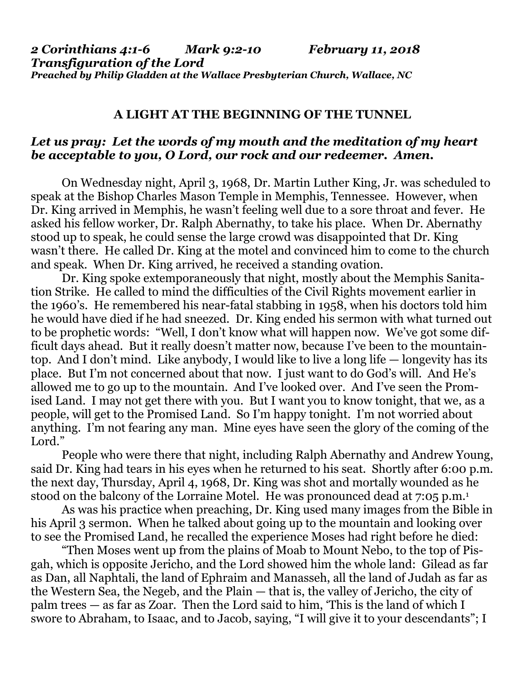## **A LIGHT AT THE BEGINNING OF THE TUNNEL**

## *Let us pray: Let the words of my mouth and the meditation of my heart be acceptable to you, O Lord, our rock and our redeemer. Amen.*

On Wednesday night, April 3, 1968, Dr. Martin Luther King, Jr. was scheduled to speak at the Bishop Charles Mason Temple in Memphis, Tennessee. However, when Dr. King arrived in Memphis, he wasn't feeling well due to a sore throat and fever. He asked his fellow worker, Dr. Ralph Abernathy, to take his place. When Dr. Abernathy stood up to speak, he could sense the large crowd was disappointed that Dr. King wasn't there. He called Dr. King at the motel and convinced him to come to the church and speak. When Dr. King arrived, he received a standing ovation.

Dr. King spoke extemporaneously that night, mostly about the Memphis Sanitation Strike. He called to mind the difficulties of the Civil Rights movement earlier in the 1960's. He remembered his near-fatal stabbing in 1958, when his doctors told him he would have died if he had sneezed. Dr. King ended his sermon with what turned out to be prophetic words: "Well, I don't know what will happen now. We've got some difficult days ahead. But it really doesn't matter now, because I've been to the mountaintop. And I don't mind. Like anybody, I would like to live a long life — longevity has its place. But I'm not concerned about that now. I just want to do God's will. And He's allowed me to go up to the mountain. And I've looked over. And I've seen the Promised Land. I may not get there with you. But I want you to know tonight, that we, as a people, will get to the Promised Land. So I'm happy tonight. I'm not worried about anything. I'm not fearing any man. Mine eyes have seen the glory of the coming of the Lord."

People who were there that night, including Ralph Abernathy and Andrew Young, said Dr. King had tears in his eyes when he returned to his seat. Shortly after 6:00 p.m. the next day, Thursday, April 4, 1968, Dr. King was shot and mortally wounded as he stood on the balcony of the Lorraine Motel. He was pronounced dead at 7:05 p.m.<sup>1</sup>

As was his practice when preaching, Dr. King used many images from the Bible in his April 3 sermon. When he talked about going up to the mountain and looking over to see the Promised Land, he recalled the experience Moses had right before he died:

"Then Moses went up from the plains of Moab to Mount Nebo, to the top of Pisgah, which is opposite Jericho, and the Lord showed him the whole land: Gilead as far as Dan, all Naphtali, the land of Ephraim and Manasseh, all the land of Judah as far as the Western Sea, the Negeb, and the Plain — that is, the valley of Jericho, the city of palm trees — as far as Zoar. Then the Lord said to him, 'This is the land of which I swore to Abraham, to Isaac, and to Jacob, saying, "I will give it to your descendants"; I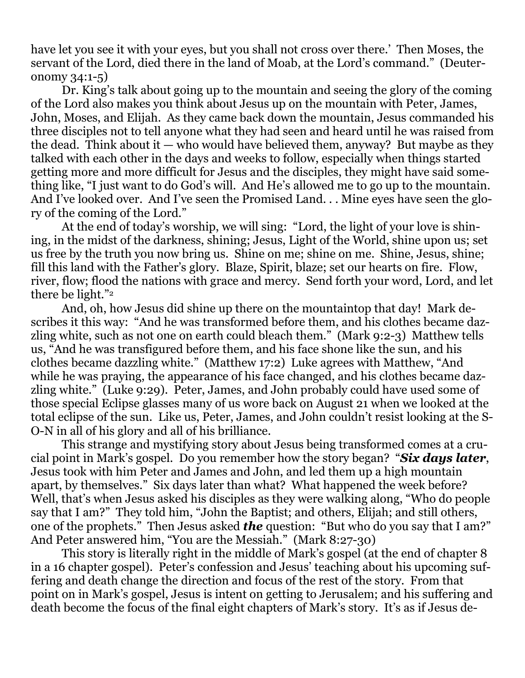have let you see it with your eyes, but you shall not cross over there.' Then Moses, the servant of the Lord, died there in the land of Moab, at the Lord's command." (Deuteronomy 34:1-5)

Dr. King's talk about going up to the mountain and seeing the glory of the coming of the Lord also makes you think about Jesus up on the mountain with Peter, James, John, Moses, and Elijah. As they came back down the mountain, Jesus commanded his three disciples not to tell anyone what they had seen and heard until he was raised from the dead. Think about it — who would have believed them, anyway? But maybe as they talked with each other in the days and weeks to follow, especially when things started getting more and more difficult for Jesus and the disciples, they might have said something like, "I just want to do God's will. And He's allowed me to go up to the mountain. And I've looked over. And I've seen the Promised Land. . . Mine eyes have seen the glory of the coming of the Lord."

At the end of today's worship, we will sing: "Lord, the light of your love is shining, in the midst of the darkness, shining; Jesus, Light of the World, shine upon us; set us free by the truth you now bring us. Shine on me; shine on me. Shine, Jesus, shine; fill this land with the Father's glory. Blaze, Spirit, blaze; set our hearts on fire. Flow, river, flow; flood the nations with grace and mercy. Send forth your word, Lord, and let there be light."<sup>2</sup>

And, oh, how Jesus did shine up there on the mountaintop that day! Mark describes it this way: "And he was transformed before them, and his clothes became dazzling white, such as not one on earth could bleach them." (Mark 9:2-3) Matthew tells us, "And he was transfigured before them, and his face shone like the sun, and his clothes became dazzling white." (Matthew 17:2) Luke agrees with Matthew, "And while he was praying, the appearance of his face changed, and his clothes became dazzling white." (Luke 9:29). Peter, James, and John probably could have used some of those special Eclipse glasses many of us wore back on August 21 when we looked at the total eclipse of the sun. Like us, Peter, James, and John couldn't resist looking at the S-O-N in all of his glory and all of his brilliance.

This strange and mystifying story about Jesus being transformed comes at a crucial point in Mark's gospel. Do you remember how the story began? "*Six days later*, Jesus took with him Peter and James and John, and led them up a high mountain apart, by themselves." Six days later than what? What happened the week before? Well, that's when Jesus asked his disciples as they were walking along, "Who do people say that I am?" They told him, "John the Baptist; and others, Elijah; and still others, one of the prophets." Then Jesus asked *the* question: "But who do you say that I am?" And Peter answered him, "You are the Messiah." (Mark 8:27-30)

This story is literally right in the middle of Mark's gospel (at the end of chapter 8 in a 16 chapter gospel). Peter's confession and Jesus' teaching about his upcoming suffering and death change the direction and focus of the rest of the story. From that point on in Mark's gospel, Jesus is intent on getting to Jerusalem; and his suffering and death become the focus of the final eight chapters of Mark's story. It's as if Jesus de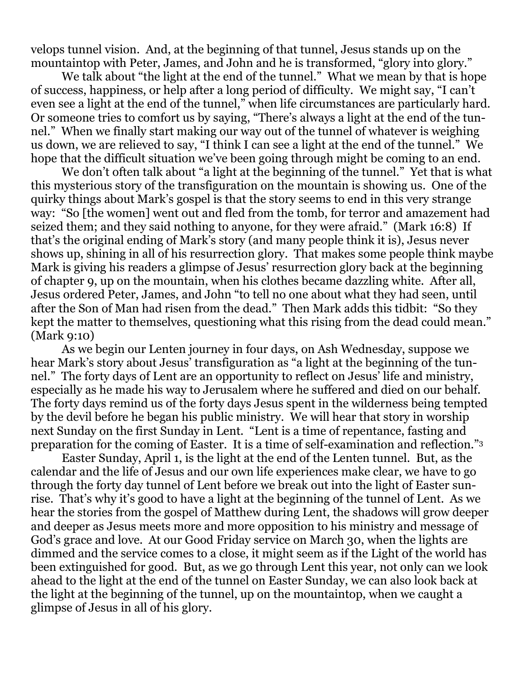velops tunnel vision. And, at the beginning of that tunnel, Jesus stands up on the mountaintop with Peter, James, and John and he is transformed, "glory into glory."

We talk about "the light at the end of the tunnel." What we mean by that is hope of success, happiness, or help after a long period of difficulty. We might say, "I can't even see a light at the end of the tunnel," when life circumstances are particularly hard. Or someone tries to comfort us by saying, "There's always a light at the end of the tunnel." When we finally start making our way out of the tunnel of whatever is weighing us down, we are relieved to say, "I think I can see a light at the end of the tunnel." We hope that the difficult situation we've been going through might be coming to an end.

We don't often talk about "a light at the beginning of the tunnel." Yet that is what this mysterious story of the transfiguration on the mountain is showing us. One of the quirky things about Mark's gospel is that the story seems to end in this very strange way: "So [the women] went out and fled from the tomb, for terror and amazement had seized them; and they said nothing to anyone, for they were afraid." (Mark 16:8) If that's the original ending of Mark's story (and many people think it is), Jesus never shows up, shining in all of his resurrection glory. That makes some people think maybe Mark is giving his readers a glimpse of Jesus' resurrection glory back at the beginning of chapter 9, up on the mountain, when his clothes became dazzling white. After all, Jesus ordered Peter, James, and John "to tell no one about what they had seen, until after the Son of Man had risen from the dead." Then Mark adds this tidbit: "So they kept the matter to themselves, questioning what this rising from the dead could mean." (Mark 9:10)

As we begin our Lenten journey in four days, on Ash Wednesday, suppose we hear Mark's story about Jesus' transfiguration as "a light at the beginning of the tunnel." The forty days of Lent are an opportunity to reflect on Jesus' life and ministry, especially as he made his way to Jerusalem where he suffered and died on our behalf. The forty days remind us of the forty days Jesus spent in the wilderness being tempted by the devil before he began his public ministry. We will hear that story in worship next Sunday on the first Sunday in Lent. "Lent is a time of repentance, fasting and preparation for the coming of Easter. It is a time of self-examination and reflection."<sup>3</sup>

Easter Sunday, April 1, is the light at the end of the Lenten tunnel. But, as the calendar and the life of Jesus and our own life experiences make clear, we have to go through the forty day tunnel of Lent before we break out into the light of Easter sunrise. That's why it's good to have a light at the beginning of the tunnel of Lent. As we hear the stories from the gospel of Matthew during Lent, the shadows will grow deeper and deeper as Jesus meets more and more opposition to his ministry and message of God's grace and love. At our Good Friday service on March 30, when the lights are dimmed and the service comes to a close, it might seem as if the Light of the world has been extinguished for good. But, as we go through Lent this year, not only can we look ahead to the light at the end of the tunnel on Easter Sunday, we can also look back at the light at the beginning of the tunnel, up on the mountaintop, when we caught a glimpse of Jesus in all of his glory.